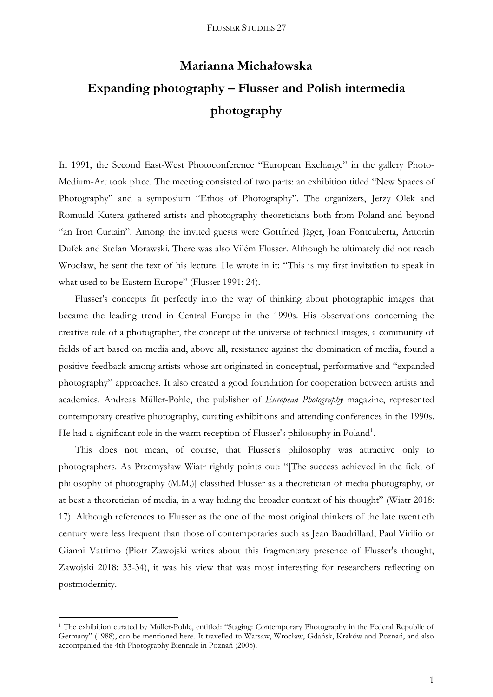# **Marianna Michałowska Expanding photography – Flusser and Polish intermedia photography**

In 1991, the Second East-West Photoconference "European Exchange" in the gallery Photo-Medium-Art took place. The meeting consisted of two parts: an exhibition titled "New Spaces of Photography" and a symposium "Ethos of Photography". The organizers, Jerzy Olek and Romuald Kutera gathered artists and photography theoreticians both from Poland and beyond "an Iron Curtain". Among the invited guests were Gottfried Jäger, Joan Fontcuberta, Antonin Dufek and Stefan Morawski. There was also Vilém Flusser. Although he ultimately did not reach Wrocław, he sent the text of his lecture. He wrote in it: "This is my first invitation to speak in what used to be Eastern Europe" (Flusser 1991: 24).

Flusser's concepts fit perfectly into the way of thinking about photographic images that became the leading trend in Central Europe in the 1990s. His observations concerning the creative role of a photographer, the concept of the universe of technical images, a community of fields of art based on media and, above all, resistance against the domination of media, found a positive feedback among artists whose art originated in conceptual, performative and "expanded photography" approaches. It also created a good foundation for cooperation between artists and academics. Andreas Müller-Pohle, the publisher of *European Photography* magazine, represented contemporary creative photography, curating exhibitions and attending conferences in the 1990s. He had a significant role in the warm reception of Flusser's philosophy in Poland<sup>1</sup>.

This does not mean, of course, that Flusser's philosophy was attractive only to photographers. As Przemysław Wiatr rightly points out: "[The success achieved in the field of philosophy of photography (M.M.)] classified Flusser as a theoretician of media photography, or at best a theoretician of media, in a way hiding the broader context of his thought" (Wiatr 2018: 17). Although references to Flusser as the one of the most original thinkers of the late twentieth century were less frequent than those of contemporaries such as Jean Baudrillard, Paul Virilio or Gianni Vattimo (Piotr Zawojski writes about this fragmentary presence of Flusser's thought, Zawojski 2018: 33-34), it was his view that was most interesting for researchers reflecting on postmodernity.

<u>.</u>

<sup>1</sup> The exhibition curated by Müller-Pohle, entitled: "Staging: Contemporary Photography in the Federal Republic of Germany" (1988), can be mentioned here. It travelled to Warsaw, Wrocław, Gdańsk, Kraków and Poznań, and also accompanied the 4th Photography Biennale in Poznań (2005).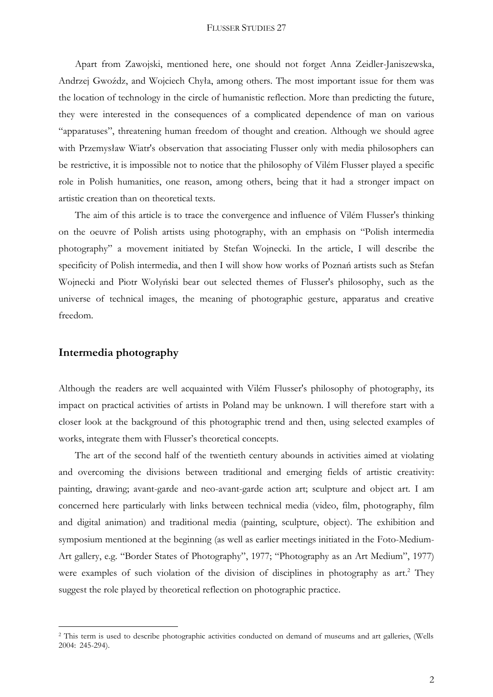Apart from Zawojski, mentioned here, one should not forget Anna Zeidler-Janiszewska, Andrzej Gwoźdz, and Wojciech Chyła, among others. The most important issue for them was the location of technology in the circle of humanistic reflection. More than predicting the future, they were interested in the consequences of a complicated dependence of man on various "apparatuses", threatening human freedom of thought and creation. Although we should agree with Przemysław Wiatr's observation that associating Flusser only with media philosophers can be restrictive, it is impossible not to notice that the philosophy of Vilém Flusser played a specific role in Polish humanities, one reason, among others, being that it had a stronger impact on artistic creation than on theoretical texts.

The aim of this article is to trace the convergence and influence of Vilém Flusser's thinking on the oeuvre of Polish artists using photography, with an emphasis on "Polish intermedia photography" a movement initiated by Stefan Wojnecki. In the article, I will describe the specificity of Polish intermedia, and then I will show how works of Poznań artists such as Stefan Wojnecki and Piotr Wołyński bear out selected themes of Flusser's philosophy, such as the universe of technical images, the meaning of photographic gesture, apparatus and creative freedom.

## **Intermedia photography**

<u>.</u>

Although the readers are well acquainted with Vilém Flusser's philosophy of photography, its impact on practical activities of artists in Poland may be unknown. I will therefore start with a closer look at the background of this photographic trend and then, using selected examples of works, integrate them with Flusser's theoretical concepts.

The art of the second half of the twentieth century abounds in activities aimed at violating and overcoming the divisions between traditional and emerging fields of artistic creativity: painting, drawing; avant-garde and neo-avant-garde action art; sculpture and object art. I am concerned here particularly with links between technical media (video, film, photography, film and digital animation) and traditional media (painting, sculpture, object). The exhibition and symposium mentioned at the beginning (as well as earlier meetings initiated in the Foto-Medium-Art gallery, e.g. "Border States of Photography", 1977; "Photography as an Art Medium", 1977) were examples of such violation of the division of disciplines in photography as art.<sup>2</sup> They suggest the role played by theoretical reflection on photographic practice.

<sup>&</sup>lt;sup>2</sup> This term is used to describe photographic activities conducted on demand of museums and art galleries, (Wells 2004: 245-294).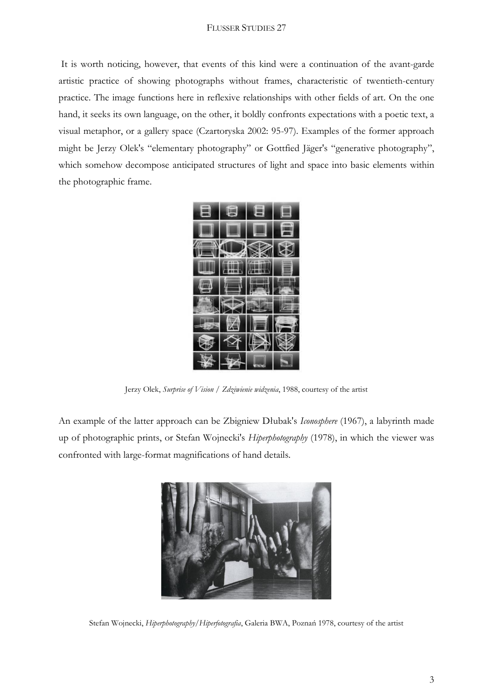It is worth noticing, however, that events of this kind were a continuation of the avant-garde artistic practice of showing photographs without frames, characteristic of twentieth-century practice. The image functions here in reflexive relationships with other fields of art. On the one hand, it seeks its own language, on the other, it boldly confronts expectations with a poetic text, a visual metaphor, or a gallery space (Czartoryska 2002: 95-97). Examples of the former approach might be Jerzy Olek's "elementary photography" or Gottfied Jäger's "generative photography", which somehow decompose anticipated structures of light and space into basic elements within the photographic frame.



Jerzy Olek, *Surprise of Vision / Zdziwienie widzenia*, 1988, courtesy of the artist

An example of the latter approach can be Zbigniew Dłubak's *Iconosphere* (1967), a labyrinth made up of photographic prints, or Stefan Wojnecki's *Hiperphotography* (1978), in which the viewer was confronted with large-format magnifications of hand details.



Stefan Wojnecki, *Hiperphotography/Hiperfotografia*, Galeria BWA, Poznań 1978, courtesy of the artist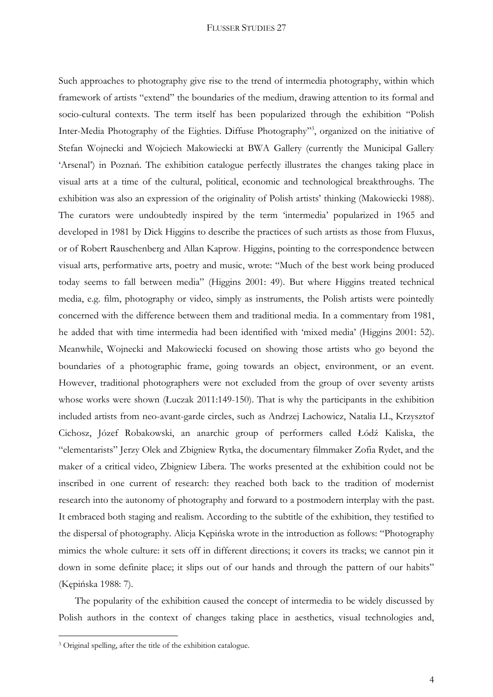Such approaches to photography give rise to the trend of intermedia photography, within which framework of artists "extend" the boundaries of the medium, drawing attention to its formal and socio-cultural contexts. The term itself has been popularized through the exhibition "Polish Inter-Media Photography of the Eighties. Diffuse Photography" 3 , organized on the initiative of Stefan Wojnecki and Wojciech Makowiecki at BWA Gallery (currently the Municipal Gallery 'Arsenal') in Poznań. The exhibition catalogue perfectly illustrates the changes taking place in visual arts at a time of the cultural, political, economic and technological breakthroughs. The exhibition was also an expression of the originality of Polish artists' thinking (Makowiecki 1988). The curators were undoubtedly inspired by the term 'intermedia' popularized in 1965 and developed in 1981 by Dick Higgins to describe the practices of such artists as those from Fluxus, or of Robert Rauschenberg and Allan Kaprow. Higgins, pointing to the correspondence between visual arts, performative arts, poetry and music, wrote: "Much of the best work being produced today seems to fall between media" (Higgins 2001: 49). But where Higgins treated technical media, e.g. film, photography or video, simply as instruments, the Polish artists were pointedly concerned with the difference between them and traditional media. In a commentary from 1981, he added that with time intermedia had been identified with 'mixed media' (Higgins 2001: 52). Meanwhile, Wojnecki and Makowiecki focused on showing those artists who go beyond the boundaries of a photographic frame, going towards an object, environment, or an event. However, traditional photographers were not excluded from the group of over seventy artists whose works were shown (Łuczak 2011:149-150). That is why the participants in the exhibition included artists from neo-avant-garde circles, such as Andrzej Lachowicz, Natalia LL, Krzysztof Cichosz, Józef Robakowski, an anarchic group of performers called Łódź Kaliska, the "elementarists" Jerzy Olek and Zbigniew Rytka, the documentary filmmaker Zofia Rydet, and the maker of a critical video, Zbigniew Libera. The works presented at the exhibition could not be inscribed in one current of research: they reached both back to the tradition of modernist research into the autonomy of photography and forward to a postmodern interplay with the past. It embraced both staging and realism. According to the subtitle of the exhibition, they testified to the dispersal of photography. Alicja Kępińska wrote in the introduction as follows: "Photography mimics the whole culture: it sets off in different directions; it covers its tracks; we cannot pin it down in some definite place; it slips out of our hands and through the pattern of our habits" (Kępińska 1988: 7).

The popularity of the exhibition caused the concept of intermedia to be widely discussed by Polish authors in the context of changes taking place in aesthetics, visual technologies and,

1

<sup>3</sup> Original spelling, after the title of the exhibition catalogue.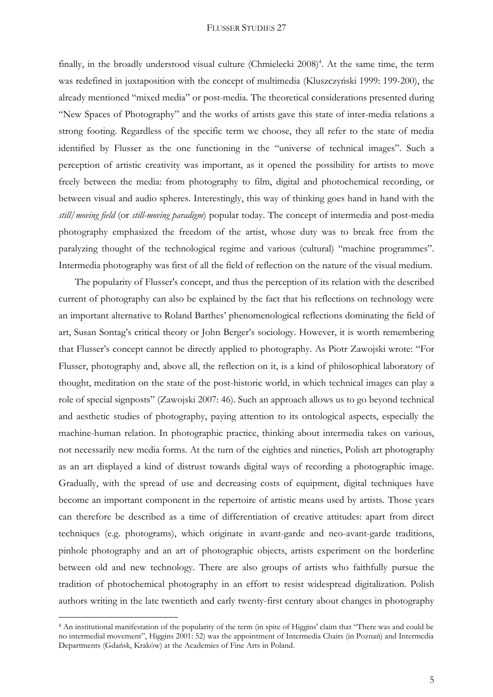finally, in the broadly understood visual culture (Chmielecki 2008)<sup>4</sup>. At the same time, the term was redefined in juxtaposition with the concept of multimedia (Kluszczyński 1999: 199-200), the already mentioned "mixed media" or post-media. The theoretical considerations presented during "New Spaces of Photography" and the works of artists gave this state of inter-media relations a strong footing. Regardless of the specific term we choose, they all refer to the state of media identified by Flusser as the one functioning in the "universe of technical images". Such a perception of artistic creativity was important, as it opened the possibility for artists to move freely between the media: from photography to film, digital and photochemical recording, or between visual and audio spheres. Interestingly, this way of thinking goes hand in hand with the *still/moving field* (or *still-moving paradigm*) popular today. The concept of intermedia and post-media photography emphasized the freedom of the artist, whose duty was to break free from the paralyzing thought of the technological regime and various (cultural) "machine programmes". Intermedia photography was first of all the field of reflection on the nature of the visual medium.

The popularity of Flusser's concept, and thus the perception of its relation with the described current of photography can also be explained by the fact that his reflections on technology were an important alternative to Roland Barthes' phenomenological reflections dominating the field of art, Susan Sontag's critical theory or John Berger's sociology. However, it is worth remembering that Flusser's concept cannot be directly applied to photography. As Piotr Zawojski wrote: "For Flusser, photography and, above all, the reflection on it, is a kind of philosophical laboratory of thought, meditation on the state of the post-historic world, in which technical images can play a role of special signposts" (Zawojski 2007: 46). Such an approach allows us to go beyond technical and aesthetic studies of photography, paying attention to its ontological aspects, especially the machine-human relation. In photographic practice, thinking about intermedia takes on various, not necessarily new media forms. At the turn of the eighties and nineties, Polish art photography as an art displayed a kind of distrust towards digital ways of recording a photographic image. Gradually, with the spread of use and decreasing costs of equipment, digital techniques have become an important component in the repertoire of artistic means used by artists. Those years can therefore be described as a time of differentiation of creative attitudes: apart from direct techniques (e.g. photograms), which originate in avant-garde and neo-avant-garde traditions, pinhole photography and an art of photographic objects, artists experiment on the borderline between old and new technology. There are also groups of artists who faithfully pursue the tradition of photochemical photography in an effort to resist widespread digitalization. Polish authors writing in the late twentieth and early twenty-first century about changes in photography

<u>.</u>

<sup>4</sup> An institutional manifestation of the popularity of the term (in spite of Higgins' claim that "There was and could be no intermedial movement", Higgins 2001: 52) was the appointment of Intermedia Chairs (in Poznań) and Intermedia Departments (Gdańsk, Kraków) at the Academies of Fine Arts in Poland.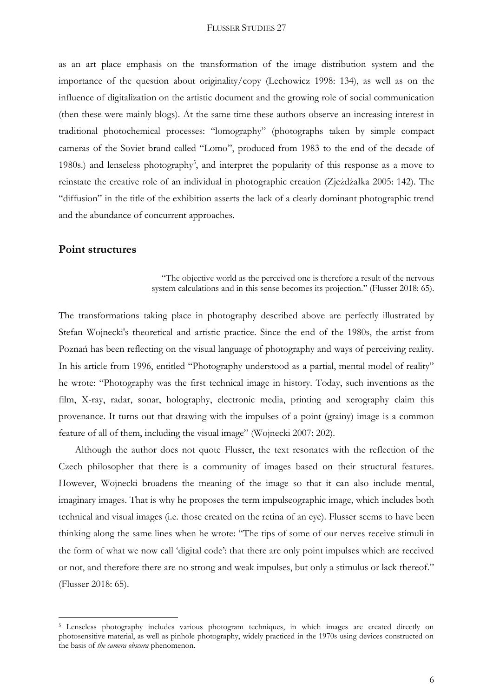as an art place emphasis on the transformation of the image distribution system and the importance of the question about originality/copy (Lechowicz 1998: 134), as well as on the influence of digitalization on the artistic document and the growing role of social communication (then these were mainly blogs). At the same time these authors observe an increasing interest in traditional photochemical processes: "lomography" (photographs taken by simple compact cameras of the Soviet brand called "Lomo", produced from 1983 to the end of the decade of 1980s.) and lenseless photography<sup>5</sup>, and interpret the popularity of this response as a move to reinstate the creative role of an individual in photographic creation (Zjeżdżałka 2005: 142). The "diffusion" in the title of the exhibition asserts the lack of a clearly dominant photographic trend and the abundance of concurrent approaches.

## **Point structures**

<u>.</u>

## "The objective world as the perceived one is therefore a result of the nervous system calculations and in this sense becomes its projection." (Flusser 2018: 65).

The transformations taking place in photography described above are perfectly illustrated by Stefan Wojnecki's theoretical and artistic practice. Since the end of the 1980s, the artist from Poznań has been reflecting on the visual language of photography and ways of perceiving reality. In his article from 1996, entitled "Photography understood as a partial, mental model of reality" he wrote: "Photography was the first technical image in history. Today, such inventions as the film, X-ray, radar, sonar, holography, electronic media, printing and xerography claim this provenance. It turns out that drawing with the impulses of a point (grainy) image is a common feature of all of them, including the visual image" (Wojnecki 2007: 202).

Although the author does not quote Flusser, the text resonates with the reflection of the Czech philosopher that there is a community of images based on their structural features. However, Wojnecki broadens the meaning of the image so that it can also include mental, imaginary images. That is why he proposes the term impulseographic image, which includes both technical and visual images (i.e. those created on the retina of an eye). Flusser seems to have been thinking along the same lines when he wrote: "The tips of some of our nerves receive stimuli in the form of what we now call 'digital code': that there are only point impulses which are received or not, and therefore there are no strong and weak impulses, but only a stimulus or lack thereof." (Flusser 2018: 65).

<sup>&</sup>lt;sup>5</sup> Lenseless photography includes various photogram techniques, in which images are created directly on photosensitive material, as well as pinhole photography, widely practiced in the 1970s using devices constructed on the basis of *the camera obscura* phenomenon.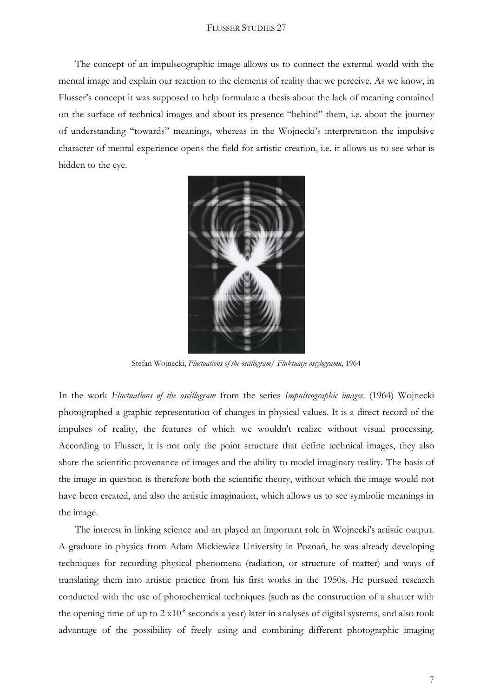The concept of an impulseographic image allows us to connect the external world with the mental image and explain our reaction to the elements of reality that we perceive. As we know, in Flusser's concept it was supposed to help formulate a thesis about the lack of meaning contained on the surface of technical images and about its presence "behind" them, i.e. about the journey of understanding "towards" meanings, whereas in the Wojnecki's interpretation the impulsive character of mental experience opens the field for artistic creation, i.e. it allows us to see what is hidden to the eye.



Stefan Wojnecki, *Fluctuations of the oscillogram/ Fluktuacje oscylogramu*, 1964

In the work *Fluctuations of the oscillogram* from the series *Impulseographic images*. (1964) Wojnecki photographed a graphic representation of changes in physical values. It is a direct record of the impulses of reality, the features of which we wouldn't realize without visual processing. According to Flusser, it is not only the point structure that define technical images, they also share the scientific provenance of images and the ability to model imaginary reality. The basis of the image in question is therefore both the scientific theory, without which the image would not have been created, and also the artistic imagination, which allows us to see symbolic meanings in the image.

The interest in linking science and art played an important role in Wojnecki's artistic output. A graduate in physics from Adam Mickiewicz University in Poznań, he was already developing techniques for recording physical phenomena (radiation, or structure of matter) and ways of translating them into artistic practice from his first works in the 1950s. He pursued research conducted with the use of photochemical techniques (such as the construction of a shutter with the opening time of up to 2 x10<sup>-8</sup> seconds a year) later in analyses of digital systems, and also took advantage of the possibility of freely using and combining different photographic imaging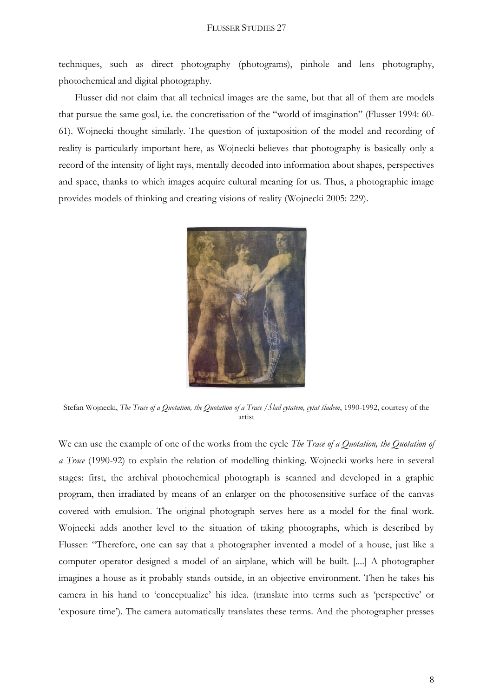techniques, such as direct photography (photograms), pinhole and lens photography, photochemical and digital photography.

Flusser did not claim that all technical images are the same, but that all of them are models that pursue the same goal, i.e. the concretisation of the "world of imagination" (Flusser 1994: 60- 61). Wojnecki thought similarly. The question of juxtaposition of the model and recording of reality is particularly important here, as Wojnecki believes that photography is basically only a record of the intensity of light rays, mentally decoded into information about shapes, perspectives and space, thanks to which images acquire cultural meaning for us. Thus, a photographic image provides models of thinking and creating visions of reality (Wojnecki 2005: 229).



Stefan Wojnecki, *The Trace of a Quotation, the Quotation of a Trace /Ślad cytatem, cytat śladem*, 1990-1992, courtesy of the artist

We can use the example of one of the works from the cycle *The Trace of a Quotation, the Quotation of a Trace* (1990-92) to explain the relation of modelling thinking. Wojnecki works here in several stages: first, the archival photochemical photograph is scanned and developed in a graphic program, then irradiated by means of an enlarger on the photosensitive surface of the canvas covered with emulsion. The original photograph serves here as a model for the final work. Wojnecki adds another level to the situation of taking photographs, which is described by Flusser: "Therefore, one can say that a photographer invented a model of a house, just like a computer operator designed a model of an airplane, which will be built. [....] A photographer imagines a house as it probably stands outside, in an objective environment. Then he takes his camera in his hand to 'conceptualize' his idea. (translate into terms such as 'perspective' or 'exposure time'). The camera automatically translates these terms. And the photographer presses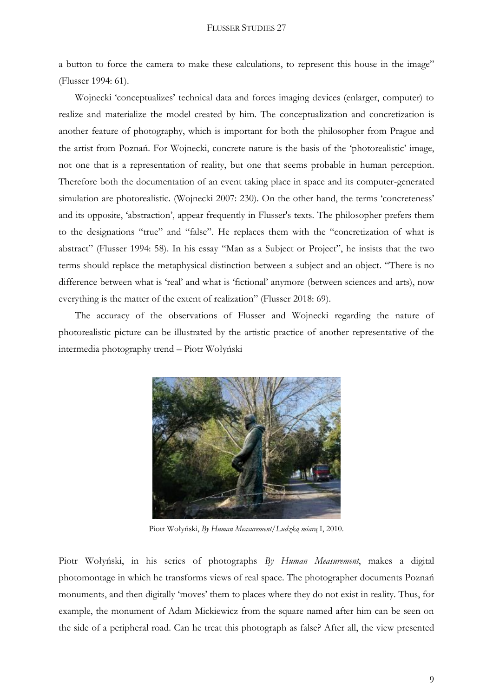a button to force the camera to make these calculations, to represent this house in the image" (Flusser 1994: 61).

Wojnecki 'conceptualizes' technical data and forces imaging devices (enlarger, computer) to realize and materialize the model created by him. The conceptualization and concretization is another feature of photography, which is important for both the philosopher from Prague and the artist from Poznań. For Wojnecki, concrete nature is the basis of the 'photorealistic' image, not one that is a representation of reality, but one that seems probable in human perception. Therefore both the documentation of an event taking place in space and its computer-generated simulation are photorealistic. (Wojnecki 2007: 230). On the other hand, the terms 'concreteness' and its opposite, 'abstraction', appear frequently in Flusser's texts. The philosopher prefers them to the designations "true" and "false". He replaces them with the "concretization of what is abstract" (Flusser 1994: 58). In his essay "Man as a Subject or Project", he insists that the two terms should replace the metaphysical distinction between a subject and an object. "There is no difference between what is 'real' and what is 'fictional' anymore (between sciences and arts), now everything is the matter of the extent of realization" (Flusser 2018: 69).

The accuracy of the observations of Flusser and Wojnecki regarding the nature of photorealistic picture can be illustrated by the artistic practice of another representative of the intermedia photography trend – Piotr Wołyński



Piotr Wołyński, *By Human Measurement/Ludzką miarą* I, 2010.

Piotr Wołyński, in his series of photographs *By Human Measurement*, makes a digital photomontage in which he transforms views of real space. The photographer documents Poznań monuments, and then digitally 'moves' them to places where they do not exist in reality. Thus, for example, the monument of Adam Mickiewicz from the square named after him can be seen on the side of a peripheral road. Can he treat this photograph as false? After all, the view presented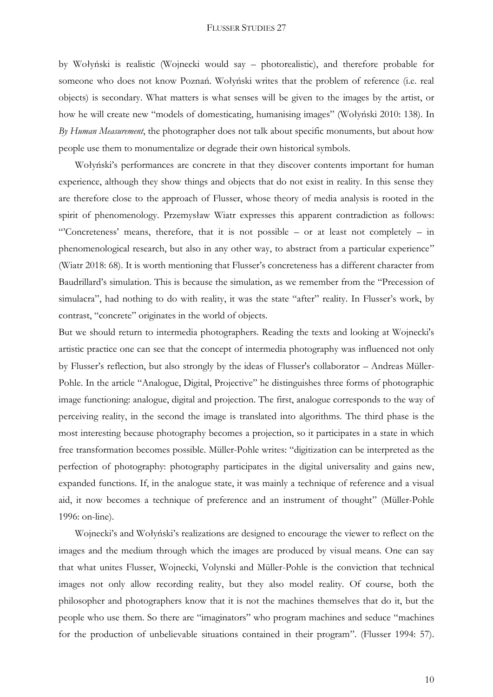by Wołyński is realistic (Wojnecki would say – photorealistic), and therefore probable for someone who does not know Poznań. Wołyński writes that the problem of reference (i.e. real objects) is secondary. What matters is what senses will be given to the images by the artist, or how he will create new "models of domesticating, humanising images" (Wołyński 2010: 138). In *By Human Measurement*, the photographer does not talk about specific monuments, but about how people use them to monumentalize or degrade their own historical symbols.

Wołyński's performances are concrete in that they discover contents important for human experience, although they show things and objects that do not exist in reality. In this sense they are therefore close to the approach of Flusser, whose theory of media analysis is rooted in the spirit of phenomenology. Przemysław Wiatr expresses this apparent contradiction as follows: "Concreteness' means, therefore, that it is not possible – or at least not completely – in phenomenological research, but also in any other way, to abstract from a particular experience" (Wiatr 2018: 68). It is worth mentioning that Flusser's concreteness has a different character from Baudrillard's simulation. This is because the simulation, as we remember from the "Precession of simulacra", had nothing to do with reality, it was the state "after" reality. In Flusser's work, by contrast, "concrete" originates in the world of objects.

But we should return to intermedia photographers. Reading the texts and looking at Wojnecki's artistic practice one can see that the concept of intermedia photography was influenced not only by Flusser's reflection, but also strongly by the ideas of Flusser's collaborator – Andreas Müller-Pohle. In the article "Analogue, Digital, Projective" he distinguishes three forms of photographic image functioning: analogue, digital and projection. The first, analogue corresponds to the way of perceiving reality, in the second the image is translated into algorithms. The third phase is the most interesting because photography becomes a projection, so it participates in a state in which free transformation becomes possible. Müller-Pohle writes: "digitization can be interpreted as the perfection of photography: photography participates in the digital universality and gains new, expanded functions. If, in the analogue state, it was mainly a technique of reference and a visual aid, it now becomes a technique of preference and an instrument of thought" (Müller-Pohle 1996: on-line).

Wojnecki's and Wołyński's realizations are designed to encourage the viewer to reflect on the images and the medium through which the images are produced by visual means. One can say that what unites Flusser, Wojnecki, Volynski and Müller-Pohle is the conviction that technical images not only allow recording reality, but they also model reality. Of course, both the philosopher and photographers know that it is not the machines themselves that do it, but the people who use them. So there are "imaginators" who program machines and seduce "machines for the production of unbelievable situations contained in their program". (Flusser 1994: 57).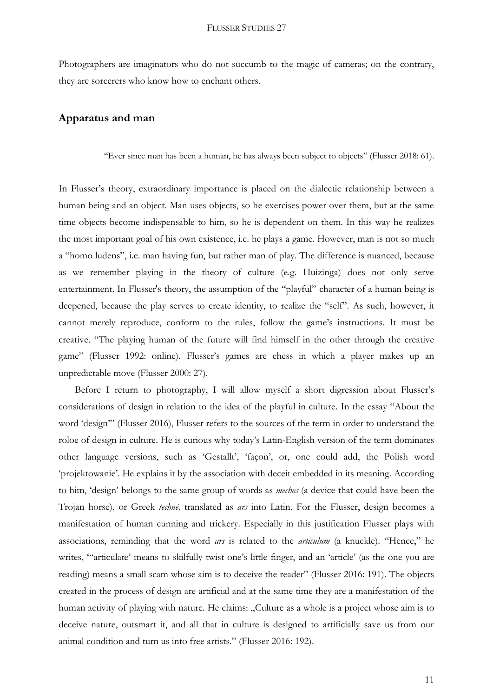Photographers are imaginators who do not succumb to the magic of cameras; on the contrary, they are sorcerers who know how to enchant others.

## **Apparatus and man**

"Ever since man has been a human, he has always been subject to objects" (Flusser 2018: 61).

In Flusser's theory, extraordinary importance is placed on the dialectic relationship between a human being and an object. Man uses objects, so he exercises power over them, but at the same time objects become indispensable to him, so he is dependent on them. In this way he realizes the most important goal of his own existence, i.e. he plays a game. However, man is not so much a "homo ludens", i.e. man having fun, but rather man of play. The difference is nuanced, because as we remember playing in the theory of culture (e.g. Huizinga) does not only serve entertainment. In Flusser's theory, the assumption of the "playful" character of a human being is deepened, because the play serves to create identity, to realize the "self". As such, however, it cannot merely reproduce, conform to the rules, follow the game's instructions. It must be creative. "The playing human of the future will find himself in the other through the creative game" (Flusser 1992: online). Flusser's games are chess in which a player makes up an unpredictable move (Flusser 2000: 27).

Before I return to photography, I will allow myself a short digression about Flusser's considerations of design in relation to the idea of the playful in culture. In the essay "About the word 'design'" (Flusser 2016), Flusser refers to the sources of the term in order to understand the roloe of design in culture. He is curious why today's Latin-English version of the term dominates other language versions, such as 'Gestallt', 'façon', or, one could add, the Polish word 'projektowanie'. He explains it by the association with deceit embedded in its meaning. According to him, 'design' belongs to the same group of words as *mechos* (a device that could have been the Trojan horse), or Greek *techné,* translated as *ars* into Latin. For the Flusser, design becomes a manifestation of human cunning and trickery. Especially in this justification Flusser plays with associations, reminding that the word *ars* is related to the *articulum* (a knuckle). "Hence," he writes, "articulate' means to skilfully twist one's little finger, and an 'article' (as the one you are reading) means a small scam whose aim is to deceive the reader" (Flusser 2016: 191). The objects created in the process of design are artificial and at the same time they are a manifestation of the human activity of playing with nature. He claims: "Culture as a whole is a project whose aim is to deceive nature, outsmart it, and all that in culture is designed to artificially save us from our animal condition and turn us into free artists." (Flusser 2016: 192).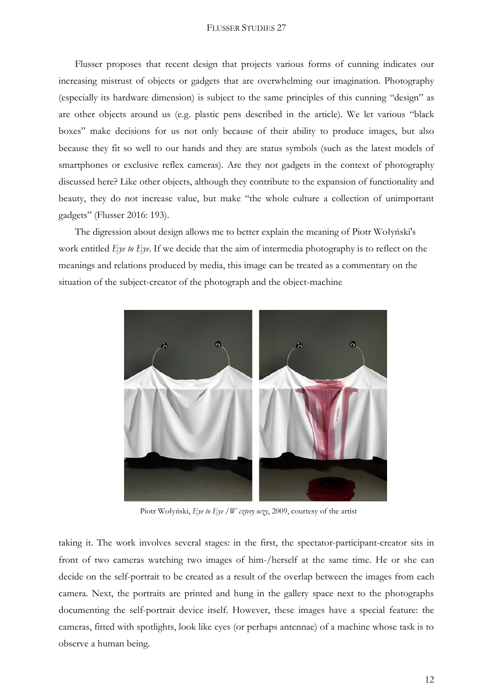Flusser proposes that recent design that projects various forms of cunning indicates our increasing mistrust of objects or gadgets that are overwhelming our imagination. Photography (especially its hardware dimension) is subject to the same principles of this cunning "design" as are other objects around us (e.g. plastic pens described in the article). We let various "black boxes" make decisions for us not only because of their ability to produce images, but also because they fit so well to our hands and they are status symbols (such as the latest models of smartphones or exclusive reflex cameras). Are they not gadgets in the context of photography discussed here? Like other objects, although they contribute to the expansion of functionality and beauty, they do not increase value, but make "the whole culture a collection of unimportant gadgets" (Flusser 2016: 193).

The digression about design allows me to better explain the meaning of Piotr Wołyński's work entitled *Eye to Eye*. If we decide that the aim of intermedia photography is to reflect on the meanings and relations produced by media, this image can be treated as a commentary on the situation of the subject-creator of the photograph and the object-machine



Piotr Wołyński, *Eye to Eye /W cztery oczy*, 2009, courtesy of the artist

taking it. The work involves several stages: in the first, the spectator-participant-creator sits in front of two cameras watching two images of him-/herself at the same time. He or she can decide on the self-portrait to be created as a result of the overlap between the images from each camera. Next, the portraits are printed and hung in the gallery space next to the photographs documenting the self-portrait device itself. However, these images have a special feature: the cameras, fitted with spotlights, look like eyes (or perhaps antennae) of a machine whose task is to observe a human being.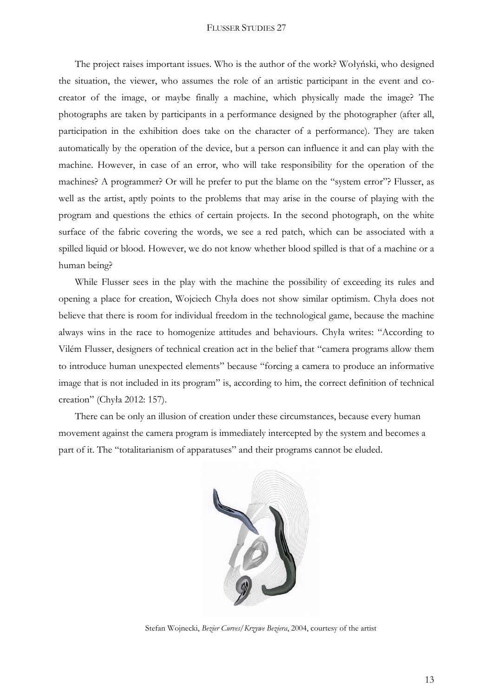The project raises important issues. Who is the author of the work? Wołyński, who designed the situation, the viewer, who assumes the role of an artistic participant in the event and cocreator of the image, or maybe finally a machine, which physically made the image? The photographs are taken by participants in a performance designed by the photographer (after all, participation in the exhibition does take on the character of a performance). They are taken automatically by the operation of the device, but a person can influence it and can play with the machine. However, in case of an error, who will take responsibility for the operation of the machines? A programmer? Or will he prefer to put the blame on the "system error"? Flusser, as well as the artist, aptly points to the problems that may arise in the course of playing with the program and questions the ethics of certain projects. In the second photograph, on the white surface of the fabric covering the words, we see a red patch, which can be associated with a spilled liquid or blood. However, we do not know whether blood spilled is that of a machine or a human being?

While Flusser sees in the play with the machine the possibility of exceeding its rules and opening a place for creation, Wojciech Chyła does not show similar optimism. Chyła does not believe that there is room for individual freedom in the technological game, because the machine always wins in the race to homogenize attitudes and behaviours. Chyła writes: "According to Vilém Flusser, designers of technical creation act in the belief that "camera programs allow them to introduce human unexpected elements" because "forcing a camera to produce an informative image that is not included in its program" is, according to him, the correct definition of technical creation" (Chyła 2012: 157).

There can be only an illusion of creation under these circumstances, because every human movement against the camera program is immediately intercepted by the system and becomes a part of it. The "totalitarianism of apparatuses" and their programs cannot be eluded.



Stefan Wojnecki, *Bezier Curves/Krzywe Beziera*, 2004, courtesy of the artist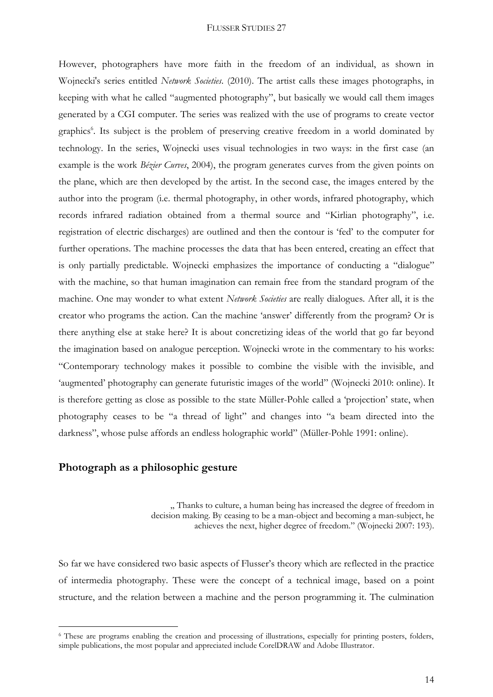However, photographers have more faith in the freedom of an individual, as shown in Wojnecki's series entitled *Network Societies*. (2010). The artist calls these images photographs, in keeping with what he called "augmented photography", but basically we would call them images generated by a CGI computer. The series was realized with the use of programs to create vector graphics<sup>6</sup>. Its subject is the problem of preserving creative freedom in a world dominated by technology. In the series, Wojnecki uses visual technologies in two ways: in the first case (an example is the work *Bézier Curves*, 2004), the program generates curves from the given points on the plane, which are then developed by the artist. In the second case, the images entered by the author into the program (i.e. thermal photography, in other words, infrared photography, which records infrared radiation obtained from a thermal source and "Kirlian photography", i.e. registration of electric discharges) are outlined and then the contour is 'fed' to the computer for further operations. The machine processes the data that has been entered, creating an effect that is only partially predictable. Wojnecki emphasizes the importance of conducting a "dialogue" with the machine, so that human imagination can remain free from the standard program of the machine. One may wonder to what extent *Network Societies* are really dialogues. After all, it is the creator who programs the action. Can the machine 'answer' differently from the program? Or is there anything else at stake here? It is about concretizing ideas of the world that go far beyond the imagination based on analogue perception. Wojnecki wrote in the commentary to his works: "Contemporary technology makes it possible to combine the visible with the invisible, and 'augmented' photography can generate futuristic images of the world" (Wojnecki 2010: online). It is therefore getting as close as possible to the state Müller-Pohle called a 'projection' state, when photography ceases to be "a thread of light" and changes into "a beam directed into the darkness", whose pulse affords an endless holographic world" (Müller-Pohle 1991: online).

# **Photograph as a philosophic gesture**

<u>.</u>

". Thanks to culture, a human being has increased the degree of freedom in decision making. By ceasing to be a man-object and becoming a man-subject, he achieves the next, higher degree of freedom." (Wojnecki 2007: 193).

So far we have considered two basic aspects of Flusser's theory which are reflected in the practice of intermedia photography. These were the concept of a technical image, based on a point structure, and the relation between a machine and the person programming it. The culmination

<sup>6</sup> These are programs enabling the creation and processing of illustrations, especially for printing posters, folders, simple publications, the most popular and appreciated include CorelDRAW and Adobe Illustrator.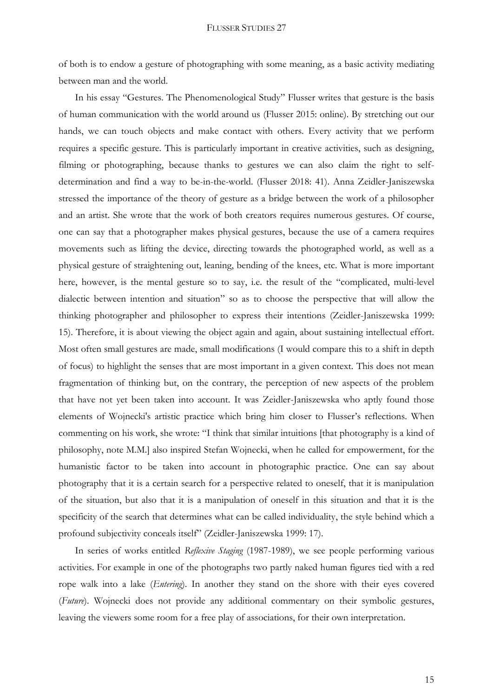of both is to endow a gesture of photographing with some meaning, as a basic activity mediating between man and the world.

In his essay "Gestures. The Phenomenological Study" Flusser writes that gesture is the basis of human communication with the world around us (Flusser 2015: online). By stretching out our hands, we can touch objects and make contact with others. Every activity that we perform requires a specific gesture. This is particularly important in creative activities, such as designing, filming or photographing, because thanks to gestures we can also claim the right to selfdetermination and find a way to be-in-the-world. (Flusser 2018: 41). Anna Zeidler-Janiszewska stressed the importance of the theory of gesture as a bridge between the work of a philosopher and an artist. She wrote that the work of both creators requires numerous gestures. Of course, one can say that a photographer makes physical gestures, because the use of a camera requires movements such as lifting the device, directing towards the photographed world, as well as a physical gesture of straightening out, leaning, bending of the knees, etc. What is more important here, however, is the mental gesture so to say, i.e. the result of the "complicated, multi-level dialectic between intention and situation" so as to choose the perspective that will allow the thinking photographer and philosopher to express their intentions (Zeidler-Janiszewska 1999: 15). Therefore, it is about viewing the object again and again, about sustaining intellectual effort. Most often small gestures are made, small modifications (I would compare this to a shift in depth of focus) to highlight the senses that are most important in a given context. This does not mean fragmentation of thinking but, on the contrary, the perception of new aspects of the problem that have not yet been taken into account. It was Zeidler-Janiszewska who aptly found those elements of Wojnecki's artistic practice which bring him closer to Flusser's reflections. When commenting on his work, she wrote: "I think that similar intuitions [that photography is a kind of philosophy, note M.M.] also inspired Stefan Wojnecki, when he called for empowerment, for the humanistic factor to be taken into account in photographic practice. One can say about photography that it is a certain search for a perspective related to oneself, that it is manipulation of the situation, but also that it is a manipulation of oneself in this situation and that it is the specificity of the search that determines what can be called individuality, the style behind which a profound subjectivity conceals itself" (Zeidler-Janiszewska 1999: 17).

In series of works entitled *Reflexive Staging* (1987-1989), we see people performing various activities. For example in one of the photographs two partly naked human figures tied with a red rope walk into a lake (*Entering*). In another they stand on the shore with their eyes covered (*Future*). Wojnecki does not provide any additional commentary on their symbolic gestures, leaving the viewers some room for a free play of associations, for their own interpretation.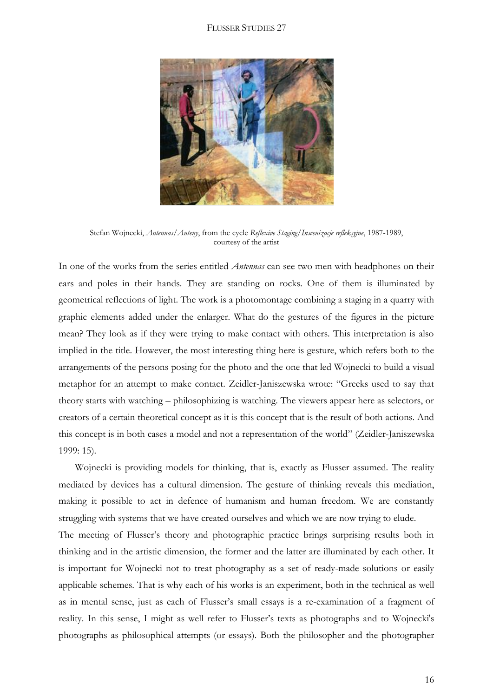

Stefan Wojnecki, *Antennas/Anteny*, from the cycle *Reflexive Staging/Inscenizacje refleksyjne*, 1987-1989, courtesy of the artist

In one of the works from the series entitled *Antennas* can see two men with headphones on their ears and poles in their hands. They are standing on rocks. One of them is illuminated by geometrical reflections of light. The work is a photomontage combining a staging in a quarry with graphic elements added under the enlarger. What do the gestures of the figures in the picture mean? They look as if they were trying to make contact with others. This interpretation is also implied in the title. However, the most interesting thing here is gesture, which refers both to the arrangements of the persons posing for the photo and the one that led Wojnecki to build a visual metaphor for an attempt to make contact. Zeidler-Janiszewska wrote: "Greeks used to say that theory starts with watching – philosophizing is watching. The viewers appear here as selectors, or creators of a certain theoretical concept as it is this concept that is the result of both actions. And this concept is in both cases a model and not a representation of the world" (Zeidler-Janiszewska 1999: 15).

Wojnecki is providing models for thinking, that is, exactly as Flusser assumed. The reality mediated by devices has a cultural dimension. The gesture of thinking reveals this mediation, making it possible to act in defence of humanism and human freedom. We are constantly struggling with systems that we have created ourselves and which we are now trying to elude.

The meeting of Flusser's theory and photographic practice brings surprising results both in thinking and in the artistic dimension, the former and the latter are illuminated by each other. It is important for Wojnecki not to treat photography as a set of ready-made solutions or easily applicable schemes. That is why each of his works is an experiment, both in the technical as well as in mental sense, just as each of Flusser's small essays is a re-examination of a fragment of reality. In this sense, I might as well refer to Flusser's texts as photographs and to Wojnecki's photographs as philosophical attempts (or essays). Both the philosopher and the photographer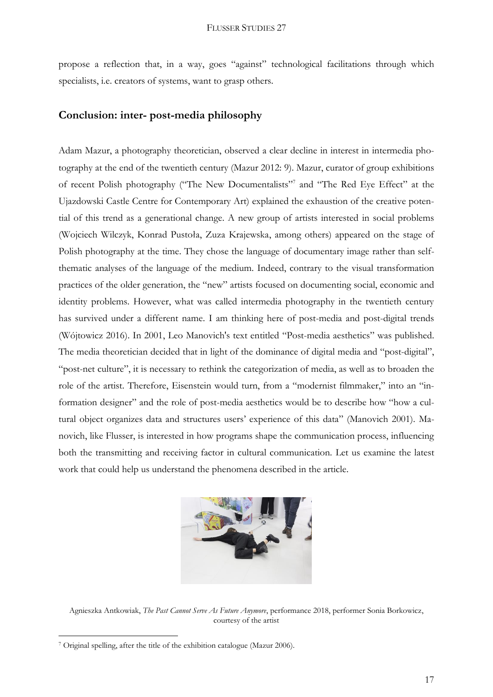propose a reflection that, in a way, goes "against" technological facilitations through which specialists, i.e. creators of systems, want to grasp others.

## **Conclusion: inter- post-media philosophy**

Adam Mazur, a photography theoretician, observed a clear decline in interest in intermedia photography at the end of the twentieth century (Mazur 2012: 9). Mazur, curator of group exhibitions of recent Polish photography ("The New Documentalists"<sup>7</sup> and "The Red Eye Effect" at the Ujazdowski Castle Centre for Contemporary Art) explained the exhaustion of the creative potential of this trend as a generational change. A new group of artists interested in social problems (Wojciech Wilczyk, Konrad Pustoła, Zuza Krajewska, among others) appeared on the stage of Polish photography at the time. They chose the language of documentary image rather than selfthematic analyses of the language of the medium. Indeed, contrary to the visual transformation practices of the older generation, the "new" artists focused on documenting social, economic and identity problems. However, what was called intermedia photography in the twentieth century has survived under a different name. I am thinking here of post-media and post-digital trends (Wójtowicz 2016). In 2001, Leo Manovich's text entitled "Post-media aesthetics" was published. The media theoretician decided that in light of the dominance of digital media and "post-digital", "post-net culture", it is necessary to rethink the categorization of media, as well as to broaden the role of the artist. Therefore, Eisenstein would turn, from a "modernist filmmaker," into an "information designer" and the role of post-media aesthetics would be to describe how "how a cultural object organizes data and structures users' experience of this data" (Manovich 2001). Manovich, like Flusser, is interested in how programs shape the communication process, influencing both the transmitting and receiving factor in cultural communication. Let us examine the latest work that could help us understand the phenomena described in the article.



Agnieszka Antkowiak, *The Past Cannot Serve As Future Anymore*, performance 2018, performer Sonia Borkowicz, courtesy of the artist

1

<sup>7</sup> Original spelling, after the title of the exhibition catalogue (Mazur 2006).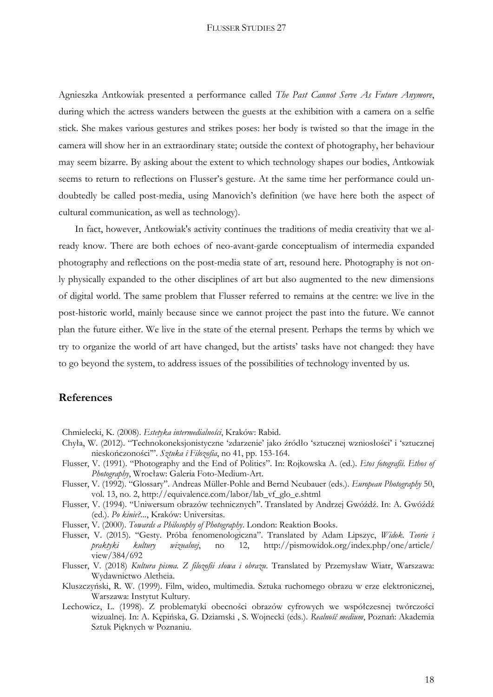Agnieszka Antkowiak presented a performance called *The Past Cannot Serve As Future Anymore*, during which the actress wanders between the guests at the exhibition with a camera on a selfie stick. She makes various gestures and strikes poses: her body is twisted so that the image in the camera will show her in an extraordinary state; outside the context of photography, her behaviour may seem bizarre. By asking about the extent to which technology shapes our bodies, Antkowiak seems to return to reflections on Flusser's gesture. At the same time her performance could undoubtedly be called post-media, using Manovich's definition (we have here both the aspect of cultural communication, as well as technology).

In fact, however, Antkowiak's activity continues the traditions of media creativity that we already know. There are both echoes of neo-avant-garde conceptualism of intermedia expanded photography and reflections on the post-media state of art, resound here. Photography is not only physically expanded to the other disciplines of art but also augmented to the new dimensions of digital world. The same problem that Flusser referred to remains at the centre: we live in the post-historic world, mainly because since we cannot project the past into the future. We cannot plan the future either. We live in the state of the eternal present. Perhaps the terms by which we try to organize the world of art have changed, but the artists' tasks have not changed: they have to go beyond the system, to address issues of the possibilities of technology invented by us.

# **References**

- Chmielecki, K. (2008). *Estetyka intermedialności*, Kraków: Rabid.
- Chyła, W. (2012). "Technokoneksjonistyczne 'zdarzenie' jako źródło 'sztucznej wzniosłości' i 'sztucznej nieskończoności'". *Sztuka i Filozofia*, no 41, pp. 153-164.
- Flusser, V. (1991). "Photography and the End of Politics". In: Rojkowska A. (ed.). *Etos fotografii. Ethos of Photography*, Wrocław: Galeria Foto-Medium-Art.
- Flusser, V. (1992). "Glossary". Andreas Müller-Pohle and Bernd Neubauer (eds.). *European Photography* 50, vol. 13, no. 2, http://equivalence.com/labor/lab\_vf\_glo\_e.shtml
- Flusser, V. (1994). "Uniwersum obrazów technicznych". Translated by Andrzej Gwóźdź. In: A. Gwóźdź (ed.). *Po kinie?...*, Kraków: Universitas.
- Flusser, V. (2000). *Towards a Philosophy of Photography*. London: Reaktion Books.
- Flusser, V. (2015). "Gesty. Próba fenomenologiczna". Translated by Adam Lipszyc, *Widok. Teorie i praktyki kultury wizualnej*, no 12, http://pismowidok.org/index.php/one/article/ view/384/692
- Flusser, V. (2018) *Kultura pisma. Z filozofii słowa i obrazu*. Translated by Przemysław Wiatr, Warszawa: Wydawnictwo Aletheia.
- Kluszczyński, R. W. (1999). Film, wideo, multimedia. Sztuka ruchomego obrazu w erze elektronicznej, Warszawa: Instytut Kultury.
- Lechowicz, L. (1998). Z problematyki obecności obrazów cyfrowych we współczesnej twórczości wizualnej. In: A. Kępińska, G. Dziamski , S. Wojnecki (eds.). *Realność medium*, Poznań: Akademia Sztuk Pięknych w Poznaniu.